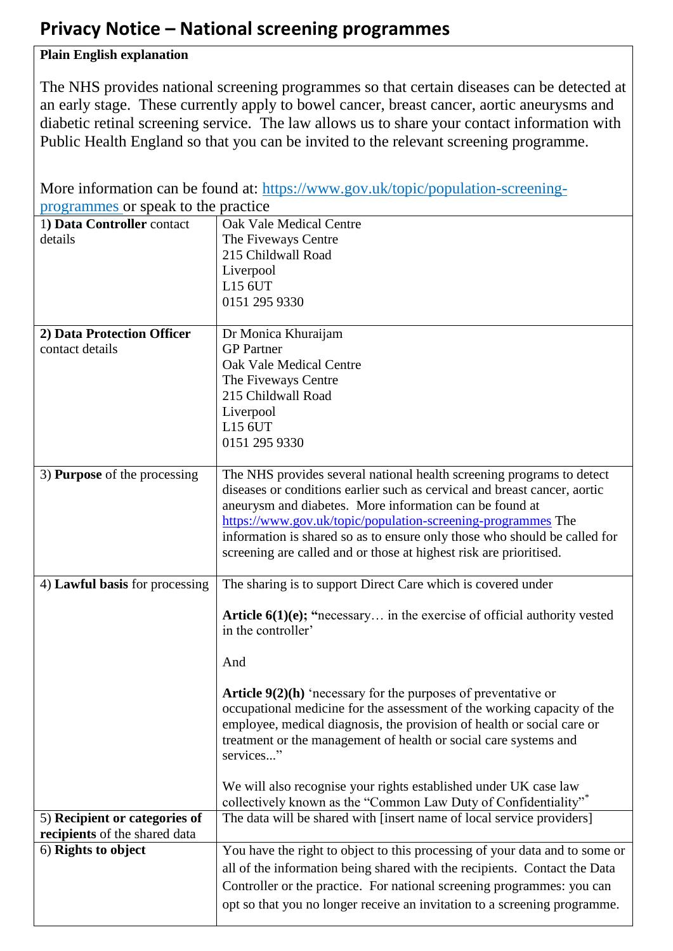## **Privacy Notice – National screening programmes**

## **Plain English explanation**

The NHS provides national screening programmes so that certain diseases can be detected at an early stage. These currently apply to bowel cancer, breast cancer, aortic aneurysms and diabetic retinal screening service. The law allows us to share your contact information with Public Health England so that you can be invited to the relevant screening programme.

| More information can be found at: https://www.gov.uk/topic/population-screening- |                                                                                 |
|----------------------------------------------------------------------------------|---------------------------------------------------------------------------------|
| programmes or speak to the practice                                              |                                                                                 |
| 1) Data Controller contact                                                       | Oak Vale Medical Centre                                                         |
| details                                                                          | The Fiveways Centre                                                             |
|                                                                                  | 215 Childwall Road                                                              |
|                                                                                  | Liverpool                                                                       |
|                                                                                  | L15 6UT                                                                         |
|                                                                                  | 0151 295 9330                                                                   |
|                                                                                  |                                                                                 |
| 2) Data Protection Officer                                                       | Dr Monica Khuraijam                                                             |
| contact details                                                                  | <b>GP</b> Partner                                                               |
|                                                                                  | <b>Oak Vale Medical Centre</b>                                                  |
|                                                                                  | The Fiveways Centre<br>215 Childwall Road                                       |
|                                                                                  | Liverpool                                                                       |
|                                                                                  | L15 6UT                                                                         |
|                                                                                  | 0151 295 9330                                                                   |
|                                                                                  |                                                                                 |
| 3) <b>Purpose</b> of the processing                                              | The NHS provides several national health screening programs to detect           |
|                                                                                  | diseases or conditions earlier such as cervical and breast cancer, aortic       |
|                                                                                  | aneurysm and diabetes. More information can be found at                         |
|                                                                                  | https://www.gov.uk/topic/population-screening-programmes The                    |
|                                                                                  | information is shared so as to ensure only those who should be called for       |
|                                                                                  | screening are called and or those at highest risk are prioritised.              |
|                                                                                  |                                                                                 |
| 4) Lawful basis for processing                                                   | The sharing is to support Direct Care which is covered under                    |
|                                                                                  | <b>Article 6(1)(e); "necessary</b> in the exercise of official authority vested |
|                                                                                  | in the controller'                                                              |
|                                                                                  |                                                                                 |
|                                                                                  | And                                                                             |
|                                                                                  | <b>Article 9(2)(h)</b> 'necessary for the purposes of preventative or           |
|                                                                                  | occupational medicine for the assessment of the working capacity of the         |
|                                                                                  | employee, medical diagnosis, the provision of health or social care or          |
|                                                                                  | treatment or the management of health or social care systems and                |
|                                                                                  | services"                                                                       |
|                                                                                  |                                                                                 |
|                                                                                  | We will also recognise your rights established under UK case law                |
|                                                                                  | collectively known as the "Common Law Duty of Confidentiality"*                 |
| 5) Recipient or categories of                                                    | The data will be shared with [insert name of local service providers]           |
| recipients of the shared data<br>6) Rights to object                             |                                                                                 |
|                                                                                  | You have the right to object to this processing of your data and to some or     |
|                                                                                  | all of the information being shared with the recipients. Contact the Data       |
|                                                                                  | Controller or the practice. For national screening programmes: you can          |
|                                                                                  | opt so that you no longer receive an invitation to a screening programme.       |